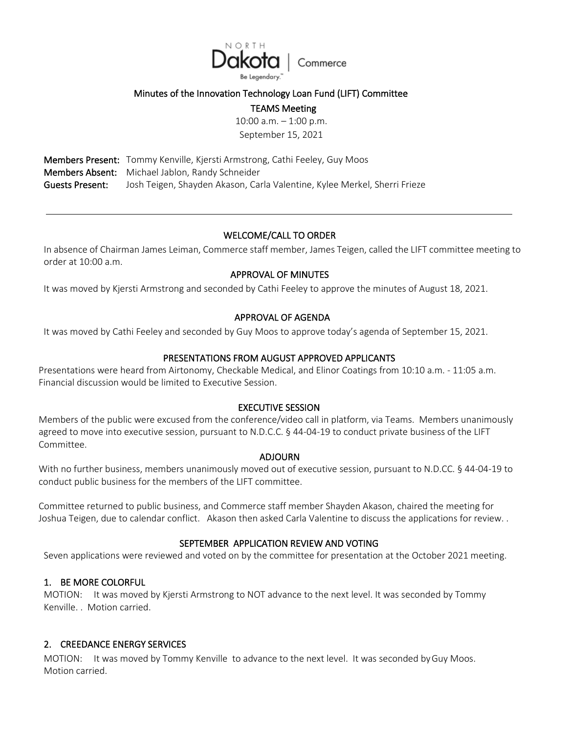

## Minutes of the Innovation Technology Loan Fund (LIFT) Committee

### TEAMS Meeting

10:00 a.m. – 1:00 p.m. September 15, 2021

Members Present: Tommy Kenville, Kjersti Armstrong, Cathi Feeley, Guy Moos Members Absent: Michael Jablon, Randy Schneider Guests Present: Josh Teigen, Shayden Akason, Carla Valentine, Kylee Merkel, Sherri Frieze

## WELCOME/CALL TO ORDER

In absence of Chairman James Leiman, Commerce staff member, James Teigen, called the LIFT committee meeting to order at 10:00 a.m.

## APPROVAL OF MINUTES

It was moved by Kjersti Armstrong and seconded by Cathi Feeley to approve the minutes of August 18, 2021.

#### APPROVAL OF AGENDA

It was moved by Cathi Feeley and seconded by Guy Moos to approve today's agenda of September 15, 2021.

## PRESENTATIONS FROM AUGUST APPROVED APPLICANTS

Presentations were heard from Airtonomy, Checkable Medical, and Elinor Coatings from 10:10 a.m. - 11:05 a.m. Financial discussion would be limited to Executive Session.

#### EXECUTIVE SESSION

Members of the public were excused from the conference/video call in platform, via Teams. Members unanimously agreed to move into executive session, pursuant to N.D.C.C. § 44-04-19 to conduct private business of the LIFT Committee.

#### ADJOURN

With no further business, members unanimously moved out of executive session, pursuant to N.D.CC. § 44-04-19 to conduct public business for the members of the LIFT committee.

Committee returned to public business, and Commerce staff member Shayden Akason, chaired the meeting for Joshua Teigen, due to calendar conflict. Akason then asked Carla Valentine to discuss the applications for review. .

#### SEPTEMBER APPLICATION REVIEW AND VOTING

Seven applications were reviewed and voted on by the committee for presentation at the October 2021 meeting.

#### 1. BE MORE COLORFUL

MOTION: It was moved by Kjersti Armstrong to NOT advance to the next level. It was seconded by Tommy Kenville. . Motion carried.

#### 2. CREEDANCE ENERGY SERVICES

MOTION: It was moved by Tommy Kenville to advance to the next level. It was seconded byGuy Moos. Motion carried.